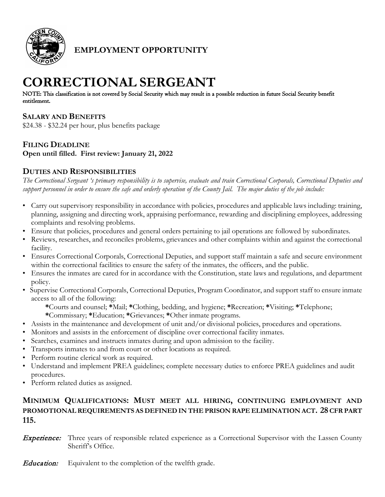

**EMPLOYMENT OPPORTUNITY**

# **CORRECTIONAL SERGEANT**

NOTE: This classification is not covered by Social Security which may result in a possible reduction in future Social Security benefit entitlement.

## **SALARY AND BENEFITS**

\$24.38 - \$32.24 per hour, plus benefits package

## **FILING DEADLINE**

**Open until filled. First review: January 21, 2022**

# **DUTIES AND RESPONSIBILITIES**

*The Correctional Sergeant 's primary responsibility is to supervise, evaluate and train Correctional Corporals, Correctional Deputies and support personnel in order to ensure the safe and orderly operation of the County Jail. The major duties of the job include:*

- Carry out supervisory responsibility in accordance with policies, procedures and applicable laws including: training, planning, assigning and directing work, appraising performance, rewarding and disciplining employees, addressing complaints and resolving problems.
- Ensure that policies, procedures and general orders pertaining to jail operations are followed by subordinates.
- Reviews, researches, and reconciles problems, grievances and other complaints within and against the correctional facility.
- Ensures Correctional Corporals, Correctional Deputies, and support staff maintain a safe and secure environment within the correctional facilities to ensure the safety of the inmates, the officers, and the public.
- Ensures the inmates are cared for in accordance with the Constitution, state laws and regulations, and department policy.
- Supervise Correctional Corporals, Correctional Deputies, Program Coordinator, and support staff to ensure inmate access to all of the following:

**\***Courts and counsel; **\***Mail; **\***Clothing, bedding, and hygiene; **\***Recreation; **\***Visiting; **\***Telephone; **\***Commissary; **\***Education; **\***Grievances; **\***Other inmate programs.

- Assists in the maintenance and development of unit and/or divisional policies, procedures and operations.
- Monitors and assists in the enforcement of discipline over correctional facility inmates.
- Searches, examines and instructs inmates during and upon admission to the facility.
- Transports inmates to and from court or other locations as required.
- Perform routine clerical work as required.
- Understand and implement PREA guidelines; complete necessary duties to enforce PREA guidelines and audit procedures.
- Perform related duties as assigned.

# **MINIMUM QUALIFICATIONS: MUST MEET ALL HIRING, CONTINUING EMPLOYMENT AND PROMOTIONAL REQUIREMENTS AS DEFINED IN THE PRISON RAPE ELIMINATION ACT. 28 CFR PART 115.**

**Experience:** Three years of responsible related experience as a Correctional Supervisor with the Lassen County Sheriff's Office.

**Education:** Equivalent to the completion of the twelfth grade.